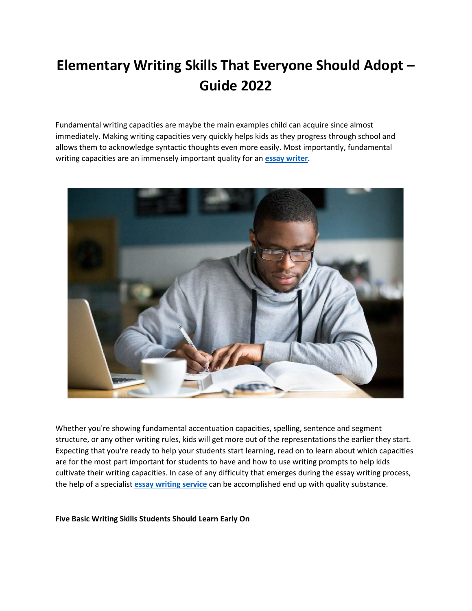# **Elementary Writing Skills That Everyone Should Adopt – Guide 2022**

Fundamental writing capacities are maybe the main examples child can acquire since almost immediately. Making writing capacities very quickly helps kids as they progress through school and allows them to acknowledge syntactic thoughts even more easily. Most importantly, fundamental writing capacities are an immensely important quality for an **[essay writer](https://www.collegeessay.org/)**.



Whether you're showing fundamental accentuation capacities, spelling, sentence and segment structure, or any other writing rules, kids will get more out of the representations the earlier they start. Expecting that you're ready to help your students start learning, read on to learn about which capacities are for the most part important for students to have and how to use writing prompts to help kids cultivate their writing capacities. In case of any difficulty that emerges during the essay writing process, the help of a specialist **[essay writing service](https://www.collegeessay.org/)** can be accomplished end up with quality substance.

**Five Basic Writing Skills Students Should Learn Early On**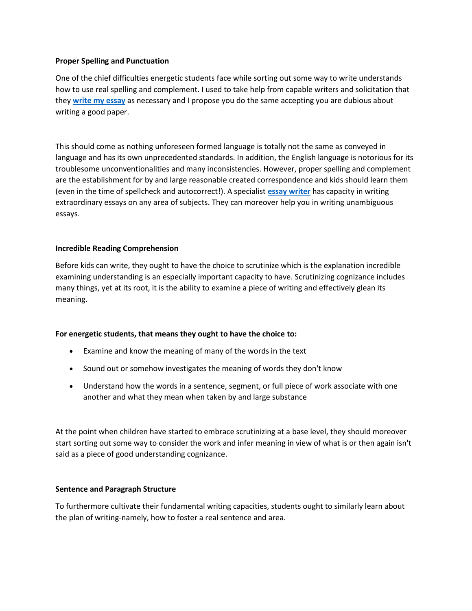#### **Proper Spelling and Punctuation**

One of the chief difficulties energetic students face while sorting out some way to write understands how to use real spelling and complement. I used to take help from capable writers and solicitation that they **[write my essay](https://www.myperfectwords.com/)** as necessary and I propose you do the same accepting you are dubious about writing a good paper.

This should come as nothing unforeseen formed language is totally not the same as conveyed in language and has its own unprecedented standards. In addition, the English language is notorious for its troublesome unconventionalities and many inconsistencies. However, proper spelling and complement are the establishment for by and large reasonable created correspondence and kids should learn them (even in the time of spellcheck and autocorrect!). A specialist **[essay writer](https://www.essaywriter.college/)** has capacity in writing extraordinary essays on any area of subjects. They can moreover help you in writing unambiguous essays.

### **Incredible Reading Comprehension**

Before kids can write, they ought to have the choice to scrutinize which is the explanation incredible examining understanding is an especially important capacity to have. Scrutinizing cognizance includes many things, yet at its root, it is the ability to examine a piece of writing and effectively glean its meaning.

### **For energetic students, that means they ought to have the choice to:**

- Examine and know the meaning of many of the words in the text
- Sound out or somehow investigates the meaning of words they don't know
- Understand how the words in a sentence, segment, or full piece of work associate with one another and what they mean when taken by and large substance

At the point when children have started to embrace scrutinizing at a base level, they should moreover start sorting out some way to consider the work and infer meaning in view of what is or then again isn't said as a piece of good understanding cognizance.

### **Sentence and Paragraph Structure**

To furthermore cultivate their fundamental writing capacities, students ought to similarly learn about the plan of writing-namely, how to foster a real sentence and area.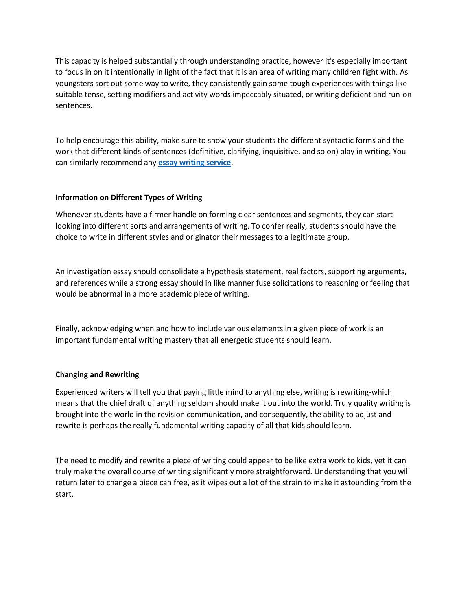This capacity is helped substantially through understanding practice, however it's especially important to focus in on it intentionally in light of the fact that it is an area of writing many children fight with. As youngsters sort out some way to write, they consistently gain some tough experiences with things like suitable tense, setting modifiers and activity words impeccably situated, or writing deficient and run-on sentences.

To help encourage this ability, make sure to show your students the different syntactic forms and the work that different kinds of sentences (definitive, clarifying, inquisitive, and so on) play in writing. You can similarly recommend any **[essay writing service](https://theessaywritingservice.com/)**.

## **Information on Different Types of Writing**

Whenever students have a firmer handle on forming clear sentences and segments, they can start looking into different sorts and arrangements of writing. To confer really, students should have the choice to write in different styles and originator their messages to a legitimate group.

An investigation essay should consolidate a hypothesis statement, real factors, supporting arguments, and references while a strong essay should in like manner fuse solicitations to reasoning or feeling that would be abnormal in a more academic piece of writing.

Finally, acknowledging when and how to include various elements in a given piece of work is an important fundamental writing mastery that all energetic students should learn.

### **Changing and Rewriting**

Experienced writers will tell you that paying little mind to anything else, writing is rewriting-which means that the chief draft of anything seldom should make it out into the world. Truly quality writing is brought into the world in the revision communication, and consequently, the ability to adjust and rewrite is perhaps the really fundamental writing capacity of all that kids should learn.

The need to modify and rewrite a piece of writing could appear to be like extra work to kids, yet it can truly make the overall course of writing significantly more straightforward. Understanding that you will return later to change a piece can free, as it wipes out a lot of the strain to make it astounding from the start.